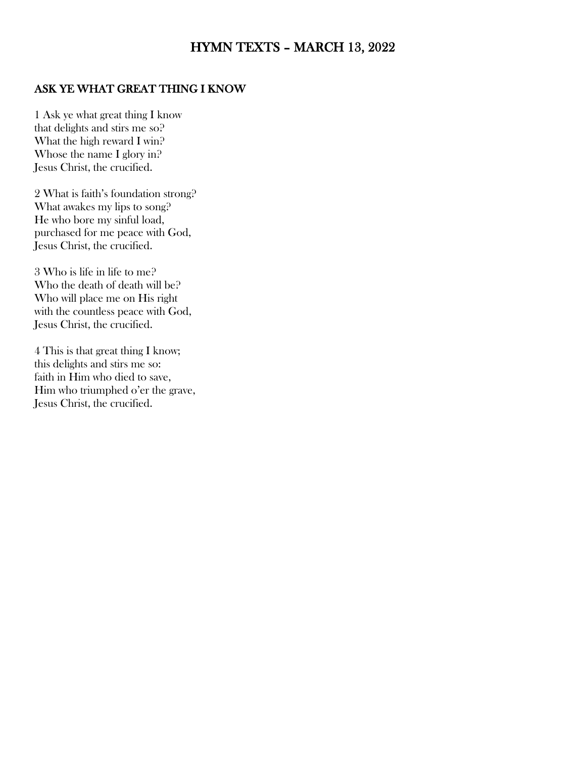# HYMN TEXTS – MARCH 13, 2022

#### ASK YE WHAT GREAT THING I KNOW

1 Ask ye what great thing I know that delights and stirs me so? What the high reward I win? Whose the name I glory in? Jesus Christ, the crucified.

2 What is faith's foundation strong? What awakes my lips to song? He who bore my sinful load, purchased for me peace with God, Jesus Christ, the crucified.

3 Who is life in life to me? Who the death of death will be? Who will place me on His right with the countless peace with God, Jesus Christ, the crucified.

4 This is that great thing I know; this delights and stirs me so: faith in Him who died to save, Him who triumphed o'er the grave, Jesus Christ, the crucified.